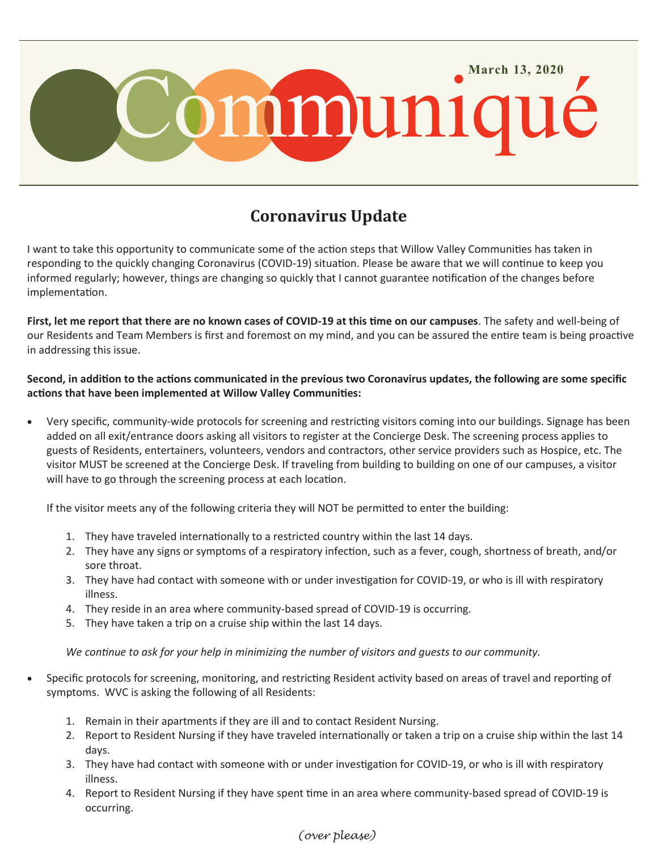

## **Coronavirus Update**

I want to take this opportunity to communicate some of the action steps that Willow Valley Communities has taken in responding to the quickly changing Coronavirus (COVID-19) situation. Please be aware that we will continue to keep you informed regularly; however, things are changing so quickly that I cannot guarantee notification of the changes before implementation.

**First, let me report that there are no known cases of COVID-19 at this time on our campuses**. The safety and well-being of our Residents and Team Members is first and foremost on my mind, and you can be assured the entire team is being proactive in addressing this issue.

**Second, in addition to the actions communicated in the previous two Coronavirus updates, the following are some specific actions that have been implemented at Willow Valley Communities:**

 Very specific, community-wide protocols for screening and restricting visitors coming into our buildings. Signage has been added on all exit/entrance doors asking all visitors to register at the Concierge Desk. The screening process applies to guests of Residents, entertainers, volunteers, vendors and contractors, other service providers such as Hospice, etc. The visitor MUST be screened at the Concierge Desk. If traveling from building to building on one of our campuses, a visitor will have to go through the screening process at each location.

If the visitor meets any of the following criteria they will NOT be permitted to enter the building:

- 1. They have traveled internationally to a restricted country within the last 14 days.
- 2. They have any signs or symptoms of a respiratory infection, such as a fever, cough, shortness of breath, and/or sore throat.
- 3. They have had contact with someone with or under investigation for COVID‐19, or who is ill with respiratory illness.
- 4. They reside in an area where community-based spread of COVID‐19 is occurring.
- 5. They have taken a trip on a cruise ship within the last 14 days.

*We continue to ask for your help in minimizing the number of visitors and guests to our community.*

- Specific protocols for screening, monitoring, and restricting Resident activity based on areas of travel and reporting of symptoms. WVC is asking the following of all Residents:
	- 1. Remain in their apartments if they are ill and to contact Resident Nursing.
	- 2. Report to Resident Nursing if they have traveled internationally or taken a trip on a cruise ship within the last 14 days.
	- 3. They have had contact with someone with or under investigation for COVID‐19, or who is ill with respiratory illness.
	- 4. Report to Resident Nursing if they have spent time in an area where community-based spread of COVID-19 is occurring.

## *(over please)*